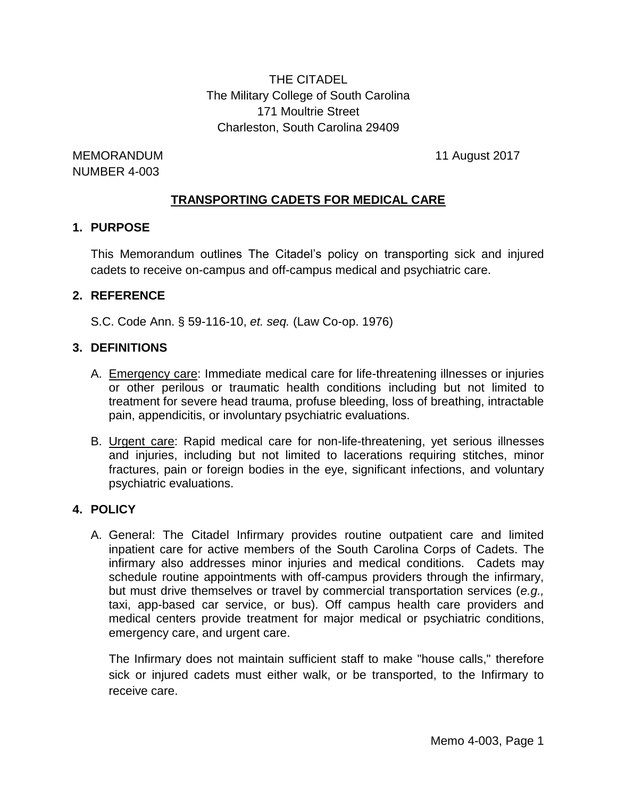THE CITADEL The Military College of South Carolina 171 Moultrie Street Charleston, South Carolina 29409

MEMORANDUM 11 August 2017 NUMBER 4-003

#### **TRANSPORTING CADETS FOR MEDICAL CARE**

#### **1. PURPOSE**

This Memorandum outlines The Citadel's policy on transporting sick and injured cadets to receive on-campus and off-campus medical and psychiatric care.

#### **2. REFERENCE**

S.C. Code Ann. § 59-116-10, *et. seq.* (Law Co-op. 1976)

#### **3. DEFINITIONS**

- A. Emergency care: Immediate medical care for life-threatening illnesses or injuries or other perilous or traumatic health conditions including but not limited to treatment for severe head trauma, profuse bleeding, loss of breathing, intractable pain, appendicitis, or involuntary psychiatric evaluations.
- B. Urgent care: Rapid medical care for non-life-threatening, yet serious illnesses and injuries, including but not limited to lacerations requiring stitches, minor fractures, pain or foreign bodies in the eye, significant infections, and voluntary psychiatric evaluations.

#### **4. POLICY**

A. General: The Citadel Infirmary provides routine outpatient care and limited inpatient care for active members of the South Carolina Corps of Cadets. The infirmary also addresses minor injuries and medical conditions. Cadets may schedule routine appointments with off-campus providers through the infirmary, but must drive themselves or travel by commercial transportation services (*e.g.,* taxi, app-based car service, or bus). Off campus health care providers and medical centers provide treatment for major medical or psychiatric conditions, emergency care, and urgent care.

The Infirmary does not maintain sufficient staff to make "house calls," therefore sick or injured cadets must either walk, or be transported, to the Infirmary to receive care.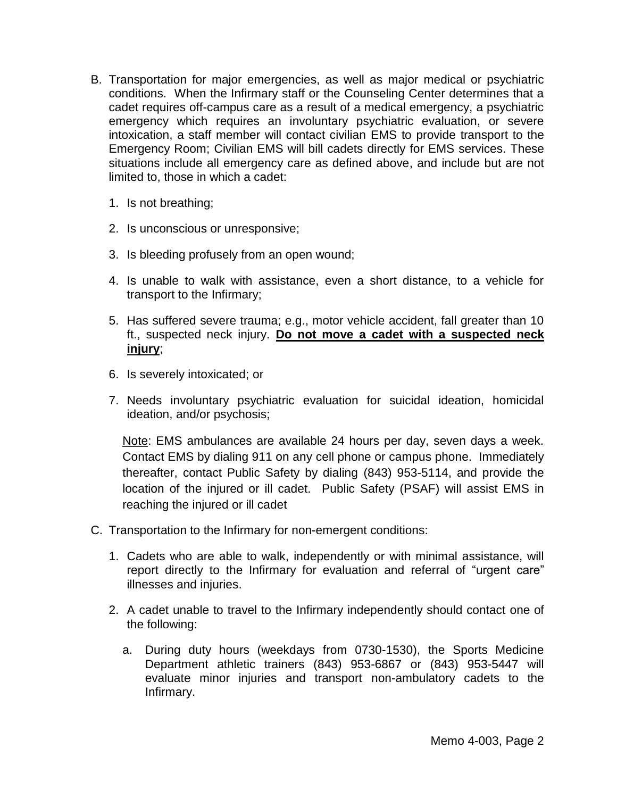- B. Transportation for major emergencies, as well as major medical or psychiatric conditions. When the Infirmary staff or the Counseling Center determines that a cadet requires off-campus care as a result of a medical emergency, a psychiatric emergency which requires an involuntary psychiatric evaluation, or severe intoxication, a staff member will contact civilian EMS to provide transport to the Emergency Room; Civilian EMS will bill cadets directly for EMS services. These situations include all emergency care as defined above, and include but are not limited to, those in which a cadet:
	- 1. Is not breathing;
	- 2. Is unconscious or unresponsive;
	- 3. Is bleeding profusely from an open wound;
	- 4. Is unable to walk with assistance, even a short distance, to a vehicle for transport to the Infirmary;
	- 5. Has suffered severe trauma; e.g., motor vehicle accident, fall greater than 10 ft., suspected neck injury. **Do not move a cadet with a suspected neck injury**;
	- 6. Is severely intoxicated; or
	- 7. Needs involuntary psychiatric evaluation for suicidal ideation, homicidal ideation, and/or psychosis;

Note: EMS ambulances are available 24 hours per day, seven days a week. Contact EMS by dialing 911 on any cell phone or campus phone. Immediately thereafter, contact Public Safety by dialing (843) 953-5114, and provide the location of the injured or ill cadet. Public Safety (PSAF) will assist EMS in reaching the injured or ill cadet

- C. Transportation to the Infirmary for non-emergent conditions:
	- 1. Cadets who are able to walk, independently or with minimal assistance, will report directly to the Infirmary for evaluation and referral of "urgent care" illnesses and injuries.
	- 2. A cadet unable to travel to the Infirmary independently should contact one of the following:
		- a. During duty hours (weekdays from 0730-1530), the Sports Medicine Department athletic trainers (843) 953-6867 or (843) 953-5447 will evaluate minor injuries and transport non-ambulatory cadets to the Infirmary.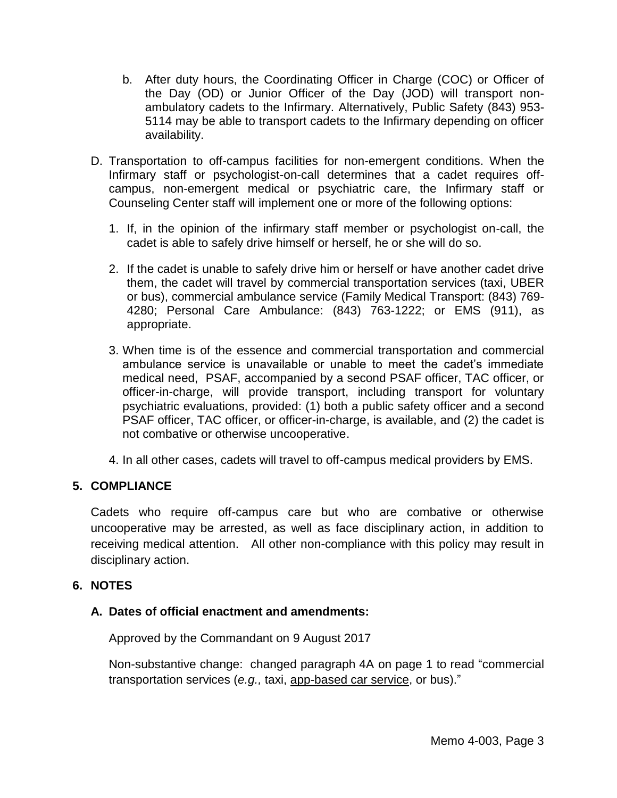- b. After duty hours, the Coordinating Officer in Charge (COC) or Officer of the Day (OD) or Junior Officer of the Day (JOD) will transport nonambulatory cadets to the Infirmary. Alternatively, Public Safety (843) 953- 5114 may be able to transport cadets to the Infirmary depending on officer availability.
- D. Transportation to off-campus facilities for non-emergent conditions. When the Infirmary staff or psychologist-on-call determines that a cadet requires offcampus, non-emergent medical or psychiatric care, the Infirmary staff or Counseling Center staff will implement one or more of the following options:
	- 1. If, in the opinion of the infirmary staff member or psychologist on-call, the cadet is able to safely drive himself or herself, he or she will do so.
	- 2. If the cadet is unable to safely drive him or herself or have another cadet drive them, the cadet will travel by commercial transportation services (taxi, UBER or bus), commercial ambulance service (Family Medical Transport: (843) 769- 4280; Personal Care Ambulance: (843) 763-1222; or EMS (911), as appropriate.
	- 3. When time is of the essence and commercial transportation and commercial ambulance service is unavailable or unable to meet the cadet's immediate medical need, PSAF, accompanied by a second PSAF officer, TAC officer, or officer-in-charge, will provide transport, including transport for voluntary psychiatric evaluations, provided: (1) both a public safety officer and a second PSAF officer, TAC officer, or officer-in-charge, is available, and (2) the cadet is not combative or otherwise uncooperative.
	- 4. In all other cases, cadets will travel to off-campus medical providers by EMS.

## **5. COMPLIANCE**

Cadets who require off-campus care but who are combative or otherwise uncooperative may be arrested, as well as face disciplinary action, in addition to receiving medical attention. All other non-compliance with this policy may result in disciplinary action.

## **6. NOTES**

## **A. Dates of official enactment and amendments:**

Approved by the Commandant on 9 August 2017

Non-substantive change: changed paragraph 4A on page 1 to read "commercial transportation services (*e.g.,* taxi, app-based car service, or bus)."